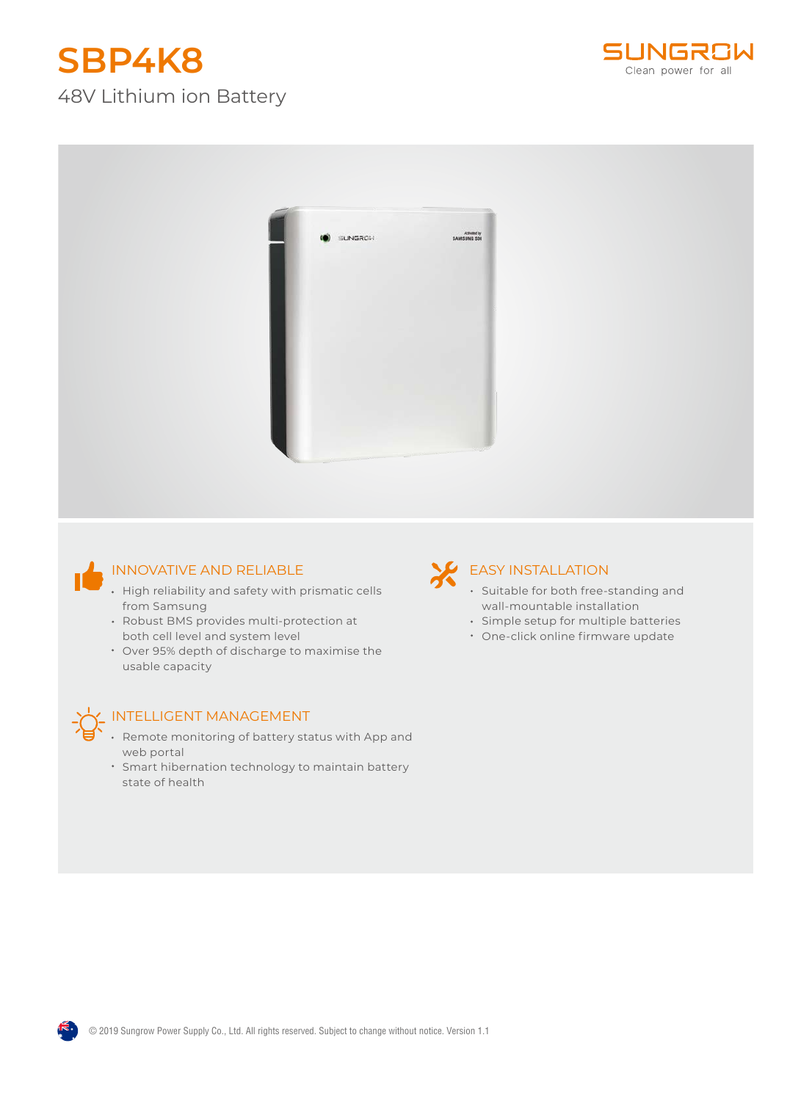# **SBP4K8**

### 48V Lithium ion Battery





#### INNOVATIVE AND RELIABLE

- High reliability and safety with prismatic cells from Samsung
- Robust BMS provides multi-protection at both cell level and system level
- Over 95% depth of discharge to maximise the usable capacity



#### INTELLIGENT MANAGEMENT

- Remote monitoring of battery status with App and web portal
- Smart hibernation technology to maintain battery state of health

## **EASY INSTALLATION**

- Suitable for both free-standing and wall-mountable installation
- Simple setup for multiple batteries
- One-click online firmware update